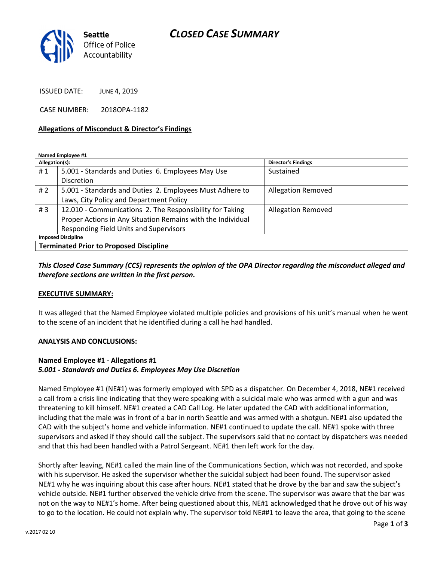## CLOSED CASE SUMMARY



ISSUED DATE: JUNE 4, 2019

CASE NUMBER: 2018OPA-1182

#### Allegations of Misconduct & Director's Findings

Named Employee #1

| Allegation(s):                                 |                                                             | <b>Director's Findings</b> |
|------------------------------------------------|-------------------------------------------------------------|----------------------------|
| #1                                             | 5.001 - Standards and Duties 6. Employees May Use           | Sustained                  |
|                                                | <b>Discretion</b>                                           |                            |
| # 2                                            | 5.001 - Standards and Duties 2. Employees Must Adhere to    | <b>Allegation Removed</b>  |
|                                                | Laws, City Policy and Department Policy                     |                            |
| #3                                             | 12.010 - Communications 2. The Responsibility for Taking    | <b>Allegation Removed</b>  |
|                                                | Proper Actions in Any Situation Remains with the Individual |                            |
|                                                | <b>Responding Field Units and Supervisors</b>               |                            |
| <b>Imposed Discipline</b>                      |                                                             |                            |
| <b>Terminated Prior to Proposed Discipline</b> |                                                             |                            |

### This Closed Case Summary (CCS) represents the opinion of the OPA Director regarding the misconduct alleged and therefore sections are written in the first person.

### EXECUTIVE SUMMARY:

It was alleged that the Named Employee violated multiple policies and provisions of his unit's manual when he went to the scene of an incident that he identified during a call he had handled.

#### ANALYSIS AND CONCLUSIONS:

### Named Employee #1 - Allegations #1 5.001 - Standards and Duties 6. Employees May Use Discretion

Named Employee #1 (NE#1) was formerly employed with SPD as a dispatcher. On December 4, 2018, NE#1 received a call from a crisis line indicating that they were speaking with a suicidal male who was armed with a gun and was threatening to kill himself. NE#1 created a CAD Call Log. He later updated the CAD with additional information, including that the male was in front of a bar in north Seattle and was armed with a shotgun. NE#1 also updated the CAD with the subject's home and vehicle information. NE#1 continued to update the call. NE#1 spoke with three supervisors and asked if they should call the subject. The supervisors said that no contact by dispatchers was needed and that this had been handled with a Patrol Sergeant. NE#1 then left work for the day.

Shortly after leaving, NE#1 called the main line of the Communications Section, which was not recorded, and spoke with his supervisor. He asked the supervisor whether the suicidal subject had been found. The supervisor asked NE#1 why he was inquiring about this case after hours. NE#1 stated that he drove by the bar and saw the subject's vehicle outside. NE#1 further observed the vehicle drive from the scene. The supervisor was aware that the bar was not on the way to NE#1's home. After being questioned about this, NE#1 acknowledged that he drove out of his way to go to the location. He could not explain why. The supervisor told NE##1 to leave the area, that going to the scene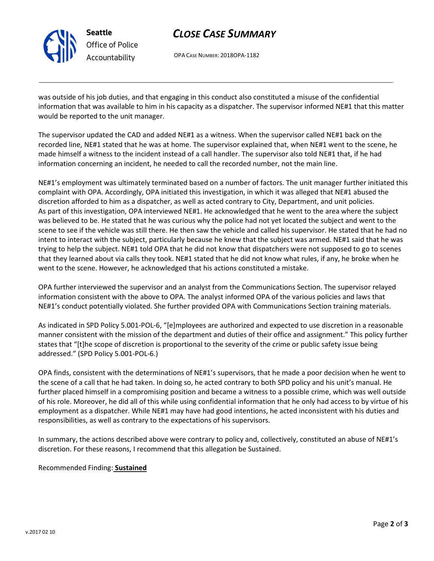

Seattle Office of Police Accountability

# CLOSE CASE SUMMARY

OPA CASE NUMBER: 2018OPA-1182

was outside of his job duties, and that engaging in this conduct also constituted a misuse of the confidential information that was available to him in his capacity as a dispatcher. The supervisor informed NE#1 that this matter would be reported to the unit manager.

The supervisor updated the CAD and added NE#1 as a witness. When the supervisor called NE#1 back on the recorded line, NE#1 stated that he was at home. The supervisor explained that, when NE#1 went to the scene, he made himself a witness to the incident instead of a call handler. The supervisor also told NE#1 that, if he had information concerning an incident, he needed to call the recorded number, not the main line.

NE#1's employment was ultimately terminated based on a number of factors. The unit manager further initiated this complaint with OPA. Accordingly, OPA initiated this investigation, in which it was alleged that NE#1 abused the discretion afforded to him as a dispatcher, as well as acted contrary to City, Department, and unit policies. As part of this investigation, OPA interviewed NE#1. He acknowledged that he went to the area where the subject was believed to be. He stated that he was curious why the police had not yet located the subject and went to the scene to see if the vehicle was still there. He then saw the vehicle and called his supervisor. He stated that he had no intent to interact with the subject, particularly because he knew that the subject was armed. NE#1 said that he was trying to help the subject. NE#1 told OPA that he did not know that dispatchers were not supposed to go to scenes that they learned about via calls they took. NE#1 stated that he did not know what rules, if any, he broke when he went to the scene. However, he acknowledged that his actions constituted a mistake.

OPA further interviewed the supervisor and an analyst from the Communications Section. The supervisor relayed information consistent with the above to OPA. The analyst informed OPA of the various policies and laws that NE#1's conduct potentially violated. She further provided OPA with Communications Section training materials.

As indicated in SPD Policy 5.001-POL-6, "[e]mployees are authorized and expected to use discretion in a reasonable manner consistent with the mission of the department and duties of their office and assignment." This policy further states that "[t]he scope of discretion is proportional to the severity of the crime or public safety issue being addressed." (SPD Policy 5.001-POL-6.)

OPA finds, consistent with the determinations of NE#1's supervisors, that he made a poor decision when he went to the scene of a call that he had taken. In doing so, he acted contrary to both SPD policy and his unit's manual. He further placed himself in a compromising position and became a witness to a possible crime, which was well outside of his role. Moreover, he did all of this while using confidential information that he only had access to by virtue of his employment as a dispatcher. While NE#1 may have had good intentions, he acted inconsistent with his duties and responsibilities, as well as contrary to the expectations of his supervisors.

In summary, the actions described above were contrary to policy and, collectively, constituted an abuse of NE#1's discretion. For these reasons, I recommend that this allegation be Sustained.

Recommended Finding: **Sustained**